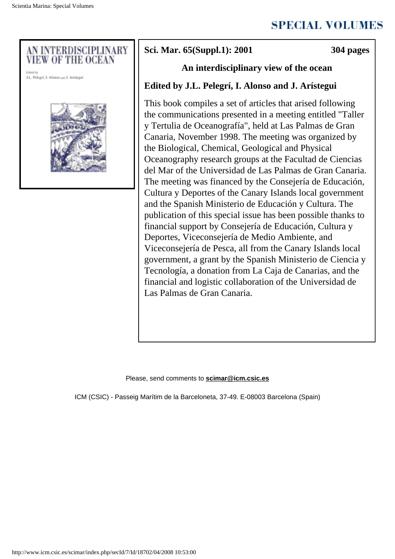



# **Sci. Mar. 65(Suppl.1): 2001 304 pages**

## **An interdisciplinary view of the ocean**

## **Edited by J.L. Pelegrí, I. Alonso and J. Arístegui**

This book compiles a set of articles that arised following the communications presented in a meeting entitled "Taller y Tertulia de Oceanografía", held at Las Palmas de Gran Canaria, November 1998. The meeting was organized by the Biological, Chemical, Geological and Physical Oceanography research groups at the Facultad de Ciencias del Mar of the Universidad de Las Palmas de Gran Canaria. The meeting was financed by the Consejería de Educación, Cultura y Deportes of the Canary Islands local government and the Spanish Ministerio de Educación y Cultura. The publication of this special issue has been possible thanks to financial support by Consejería de Educación, Cultura y Deportes, Viceconsejería de Medio Ambiente, and Viceconsejería de Pesca, all from the Canary Islands local government, a grant by the Spanish Ministerio de Ciencia y Tecnología, a donation from La Caja de Canarias, and the financial and logistic collaboration of the Universidad de Las Palmas de Gran Canaria.

#### Please, send comments to **[scimar@icm.csic.es](javascript:void(0))**

ICM (CSIC) - Passeig Marítim de la Barceloneta, 37-49. E-08003 Barcelona (Spain)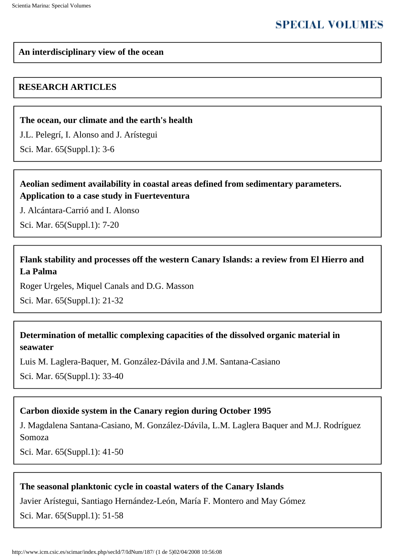# **SPECIAL VOLUMES**

#### **An interdisciplinary view of the ocean**

### **RESEARCH ARTICLES**

#### **[The ocean, our climate and the earth's health](http://www.icm.csic.es/scimar/index.php/secId/7/IdArt/249/)**

[J.L. Pelegrí,](http://www.icm.csic.es/scimar/index.php/secId/9/author/1/iniyear/1955/finyear/2008/search/%22J.L.%20Pelegr%ED%22/) [I. Alonso](http://www.icm.csic.es/scimar/index.php/secId/9/author/1/iniyear/1955/finyear/2008/search/%22I.%20Alonso%22/) and [J. Arístegui](http://www.icm.csic.es/scimar/index.php/secId/9/author/1/iniyear/1955/finyear/2008/search/%22J.%20Ar%EDstegui%22/)

Sci. Mar. 65(Suppl.1): 3-6

## **[Aeolian sediment availability in coastal areas defined from sedimentary parameters.](http://www.icm.csic.es/scimar/index.php/secId/7/IdArt/250/) [Application to a case study in Fuerteventura](http://www.icm.csic.es/scimar/index.php/secId/7/IdArt/250/)**

[J. Alcántara-Carrió](http://www.icm.csic.es/scimar/index.php/secId/9/author/1/iniyear/1955/finyear/2008/search/%22J.%20Alc%E1ntara-Carri%F3%22/) and [I. Alonso](http://www.icm.csic.es/scimar/index.php/secId/9/author/1/iniyear/1955/finyear/2008/search/%22I.%20Alonso%22/)

Sci. Mar. 65(Suppl.1): 7-20

## **[Flank stability and processes off the western Canary Islands: a review from El Hierro and](http://www.icm.csic.es/scimar/index.php/secId/7/IdArt/274/) [La Palma](http://www.icm.csic.es/scimar/index.php/secId/7/IdArt/274/)**

[Roger Urgeles](http://www.icm.csic.es/scimar/index.php/secId/9/author/1/iniyear/1955/finyear/2008/search/%22Roger%20Urgeles%22/), [Miquel Canals](http://www.icm.csic.es/scimar/index.php/secId/9/author/1/iniyear/1955/finyear/2008/search/%22Miquel%20Canals%22/) and [D.G. Masson](http://www.icm.csic.es/scimar/index.php/secId/9/author/1/iniyear/1955/finyear/2008/search/%22D.G.%20Masson%22/)

Sci. Mar. 65(Suppl.1): 21-32

## **[Determination of metallic complexing capacities of the dissolved organic material in](http://www.icm.csic.es/scimar/index.php/secId/7/IdArt/260/) [seawater](http://www.icm.csic.es/scimar/index.php/secId/7/IdArt/260/)**

[Luis M. Laglera-Baquer,](http://www.icm.csic.es/scimar/index.php/secId/9/author/1/iniyear/1955/finyear/2008/search/%22Luis%20M.%20Laglera-Baquer%22/) [M. González-Dávila](http://www.icm.csic.es/scimar/index.php/secId/9/author/1/iniyear/1955/finyear/2008/search/%22M.%20Gonz%E1lez-D%E1vila%22/) and [J.M. Santana-Casiano](http://www.icm.csic.es/scimar/index.php/secId/9/author/1/iniyear/1955/finyear/2008/search/%22J.M.%20Santana-Casiano%22/)

Sci. Mar. 65(Suppl.1): 33-40

## **[Carbon dioxide system in the Canary region during October 1995](http://www.icm.csic.es/scimar/index.php/secId/7/IdArt/270/)**

[J. Magdalena Santana-Casiano,](http://www.icm.csic.es/scimar/index.php/secId/9/author/1/iniyear/1955/finyear/2008/search/%22J.%20Magdalena%20Santana-Casiano%22/) [M. González-Dávila,](http://www.icm.csic.es/scimar/index.php/secId/9/author/1/iniyear/1955/finyear/2008/search/%22M.%20Gonz%E1lez-D%E1vila%22/) [L.M. Laglera Baquer](http://www.icm.csic.es/scimar/index.php/secId/9/author/1/iniyear/1955/finyear/2008/search/%22L.M.%20Laglera%20Baquer%22/) and [M.J. Rodríguez](http://www.icm.csic.es/scimar/index.php/secId/9/author/1/iniyear/1955/finyear/2008/search/%22M.J.%20Rodr%EDguez%20Somoza%22/)  [Somoza](http://www.icm.csic.es/scimar/index.php/secId/9/author/1/iniyear/1955/finyear/2008/search/%22M.J.%20Rodr%EDguez%20Somoza%22/)

Sci. Mar. 65(Suppl.1): 41-50

## **[The seasonal planktonic cycle in coastal waters of the Canary Islands](http://www.icm.csic.es/scimar/index.php/secId/7/IdArt/253/)**

[Javier Arístegui,](http://www.icm.csic.es/scimar/index.php/secId/9/author/1/iniyear/1955/finyear/2008/search/%22Javier%20Ar%EDstegui%22/) [Santiago Hernández-León,](http://www.icm.csic.es/scimar/index.php/secId/9/author/1/iniyear/1955/finyear/2008/search/%22Santiago%20Hern%E1ndez-Le%F3n%22/) [María F. Montero](http://www.icm.csic.es/scimar/index.php/secId/9/author/1/iniyear/1955/finyear/2008/search/%22Mar%EDa%20F.%20Montero%22/) and [May Gómez](http://www.icm.csic.es/scimar/index.php/secId/9/author/1/iniyear/1955/finyear/2008/search/%22May%20G%F3mez%22/)

Sci. Mar. 65(Suppl.1): 51-58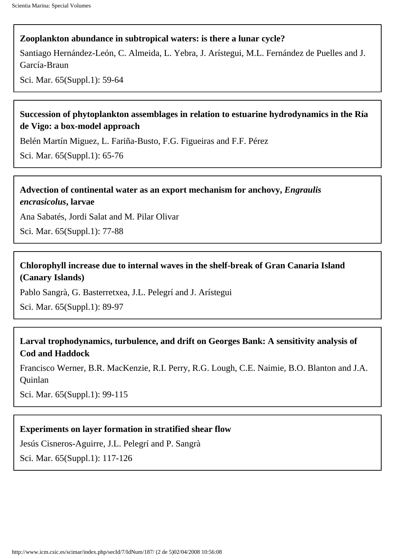## **[Zooplankton abundance in subtropical waters: is there a lunar cycle?](http://www.icm.csic.es/scimar/index.php/secId/7/IdArt/259/)**

[Santiago Hernández-León](http://www.icm.csic.es/scimar/index.php/secId/9/author/1/iniyear/1955/finyear/2008/search/%22Santiago%20Hern%E1ndez-Le%F3n%22/), [C. Almeida](http://www.icm.csic.es/scimar/index.php/secId/9/author/1/iniyear/1955/finyear/2008/search/%22C.%20Almeida%22/), [L. Yebra,](http://www.icm.csic.es/scimar/index.php/secId/9/author/1/iniyear/1955/finyear/2008/search/%22L.%20Yebra%22/) [J. Arístegui,](http://www.icm.csic.es/scimar/index.php/secId/9/author/1/iniyear/1955/finyear/2008/search/%22J.%20Ar%EDstegui%22/) [M.L. Fernández de Puelles](http://www.icm.csic.es/scimar/index.php/secId/9/author/1/iniyear/1955/finyear/2008/search/%22M.L.%20Fern%E1ndez%20de%20Puelles%22/) and [J.](http://www.icm.csic.es/scimar/index.php/secId/9/author/1/iniyear/1955/finyear/2008/search/%22J.%20Garc%EDa-Braun%22/)  [García-Braun](http://www.icm.csic.es/scimar/index.php/secId/9/author/1/iniyear/1955/finyear/2008/search/%22J.%20Garc%EDa-Braun%22/)

Sci. Mar. 65(Suppl.1): 59-64

## **[Succession of phytoplankton assemblages in relation to estuarine hydrodynamics in the Ría](http://www.icm.csic.es/scimar/index.php/secId/7/IdArt/263/)  [de Vigo: a box-model approach](http://www.icm.csic.es/scimar/index.php/secId/7/IdArt/263/)**

[Belén Martín Miguez](http://www.icm.csic.es/scimar/index.php/secId/9/author/1/iniyear/1955/finyear/2008/search/%22Bel%E9n%20Mart%EDn%20Miguez%22/), [L. Fariña-Busto](http://www.icm.csic.es/scimar/index.php/secId/9/author/1/iniyear/1955/finyear/2008/search/%22L.%20Fari%F1a-Busto%22/), [F.G. Figueiras](http://www.icm.csic.es/scimar/index.php/secId/9/author/1/iniyear/1955/finyear/2008/search/%22F.G.%20Figueiras%22/) and [F.F. Pérez](http://www.icm.csic.es/scimar/index.php/secId/9/author/1/iniyear/1955/finyear/2008/search/%22F.F.%20P%E9rez%22/)

Sci. Mar. 65(Suppl.1): 65-76

## **[Advection of continental water as an export mechanism for anchovy,](http://www.icm.csic.es/scimar/index.php/secId/7/IdArt/277/)** *Engraulis [encrasicolus](http://www.icm.csic.es/scimar/index.php/secId/7/IdArt/277/)***, larvae**

[Ana Sabatés](http://www.icm.csic.es/scimar/index.php/secId/9/author/1/iniyear/1955/finyear/2008/search/%22Ana%20Sabat%E9s%22/), [Jordi Salat](http://www.icm.csic.es/scimar/index.php/secId/9/author/1/iniyear/1955/finyear/2008/search/%22Jordi%20Salat%22/) and [M. Pilar Olivar](http://www.icm.csic.es/scimar/index.php/secId/9/author/1/iniyear/1955/finyear/2008/search/%22M.%20Pilar%20Olivar%22/)

Sci. Mar. 65(Suppl.1): 77-88

## **[Chlorophyll increase due to internal waves in the shelf-break of Gran Canaria Island](http://www.icm.csic.es/scimar/index.php/secId/7/IdArt/271/)  [\(Canary Islands\)](http://www.icm.csic.es/scimar/index.php/secId/7/IdArt/271/)**

[Pablo Sangrà,](http://www.icm.csic.es/scimar/index.php/secId/9/author/1/iniyear/1955/finyear/2008/search/%22Pablo%20Sangr%E0%22/) [G. Basterretxea](http://www.icm.csic.es/scimar/index.php/secId/9/author/1/iniyear/1955/finyear/2008/search/%22G.%20Basterretxea%22/), [J.L. Pelegrí](http://www.icm.csic.es/scimar/index.php/secId/9/author/1/iniyear/1955/finyear/2008/search/%22J.L.%20Pelegr%ED%22/) and [J. Arístegui](http://www.icm.csic.es/scimar/index.php/secId/9/author/1/iniyear/1955/finyear/2008/search/%22J.%20Ar%EDstegui%22/)

Sci. Mar. 65(Suppl.1): 89-97

## **[Larval trophodynamics, turbulence, and drift on Georges Bank: A sensitivity analysis of](http://www.icm.csic.es/scimar/index.php/secId/7/IdArt/276/) [Cod and Haddock](http://www.icm.csic.es/scimar/index.php/secId/7/IdArt/276/)**

[Francisco Werner](http://www.icm.csic.es/scimar/index.php/secId/9/author/1/iniyear/1955/finyear/2008/search/%22Francisco%20Werner%22/), [B.R. MacKenzie](http://www.icm.csic.es/scimar/index.php/secId/9/author/1/iniyear/1955/finyear/2008/search/%22B.R.%20MacKenzie%22/), [R.I. Perry,](http://www.icm.csic.es/scimar/index.php/secId/9/author/1/iniyear/1955/finyear/2008/search/%22R.I.%20Perry%22/) [R.G. Lough,](http://www.icm.csic.es/scimar/index.php/secId/9/author/1/iniyear/1955/finyear/2008/search/%22R.G.%20Lough%22/) [C.E. Naimie,](http://www.icm.csic.es/scimar/index.php/secId/9/author/1/iniyear/1955/finyear/2008/search/%22C.E.%20Naimie%22/) [B.O. Blanton](http://www.icm.csic.es/scimar/index.php/secId/9/author/1/iniyear/1955/finyear/2008/search/%22B.O.%20Blanton%22/) and [J.A.](http://www.icm.csic.es/scimar/index.php/secId/9/author/1/iniyear/1955/finyear/2008/search/%22J.A.%20Quinlan%22/) [Quinlan](http://www.icm.csic.es/scimar/index.php/secId/9/author/1/iniyear/1955/finyear/2008/search/%22J.A.%20Quinlan%22/)

Sci. Mar. 65(Suppl.1): 99-115

### **[Experiments on layer formation in stratified shear flow](http://www.icm.csic.es/scimar/index.php/secId/7/IdArt/255/)**

[Jesús Cisneros-Aguirre,](http://www.icm.csic.es/scimar/index.php/secId/9/author/1/iniyear/1955/finyear/2008/search/%22Jes%FAs%20Cisneros-Aguirre%22/) [J.L. Pelegrí](http://www.icm.csic.es/scimar/index.php/secId/9/author/1/iniyear/1955/finyear/2008/search/%22J.L.%20Pelegr%ED%22/) and [P. Sangrà](http://www.icm.csic.es/scimar/index.php/secId/9/author/1/iniyear/1955/finyear/2008/search/%22P.%20Sangr%E0%22/)

Sci. Mar. 65(Suppl.1): 117-126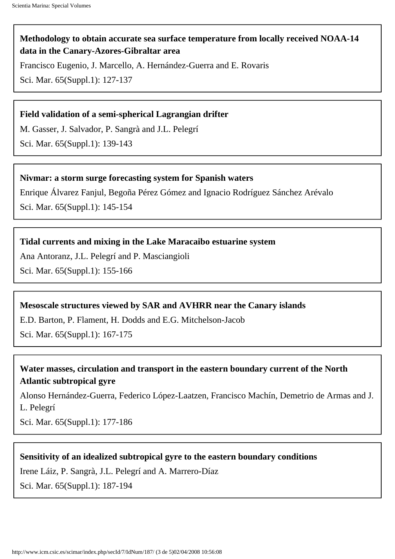## **[Methodology to obtain accurate sea surface temperature from locally received NOAA-14](http://www.icm.csic.es/scimar/index.php/secId/7/IdArt/256/)  [data in the Canary-Azores-Gibraltar area](http://www.icm.csic.es/scimar/index.php/secId/7/IdArt/256/)**

[Francisco Eugenio,](http://www.icm.csic.es/scimar/index.php/secId/9/author/1/iniyear/1955/finyear/2008/search/%22Francisco%20Eugenio%22/) [J. Marcello](http://www.icm.csic.es/scimar/index.php/secId/9/author/1/iniyear/1955/finyear/2008/search/%22J.%20Marcello%22/), [A. Hernández-Guerra](http://www.icm.csic.es/scimar/index.php/secId/9/author/1/iniyear/1955/finyear/2008/search/%22A.%20Hern%E1ndez-Guerra%22/) and [E. Rovaris](http://www.icm.csic.es/scimar/index.php/secId/9/author/1/iniyear/1955/finyear/2008/search/%22E.%20Rovaris%22/)

Sci. Mar. 65(Suppl.1): 127-137

#### **[Field validation of a semi-spherical Lagrangian drifter](http://www.icm.csic.es/scimar/index.php/secId/7/IdArt/257/)**

[M. Gasser](http://www.icm.csic.es/scimar/index.php/secId/9/author/1/iniyear/1955/finyear/2008/search/%22M.%20Gasser%22/), [J. Salvador](http://www.icm.csic.es/scimar/index.php/secId/9/author/1/iniyear/1955/finyear/2008/search/%22J.%20Salvador%22/), [P. Sangrà](http://www.icm.csic.es/scimar/index.php/secId/9/author/1/iniyear/1955/finyear/2008/search/%22P.%20Sangr%E0%22/) and [J.L. Pelegrí](http://www.icm.csic.es/scimar/index.php/secId/9/author/1/iniyear/1955/finyear/2008/search/%22J.L.%20Pelegr%ED%22/)

Sci. Mar. 65(Suppl.1): 139-143

#### **[Nivmar: a storm surge forecasting system for Spanish waters](http://www.icm.csic.es/scimar/index.php/secId/7/IdArt/251/)**

[Enrique Álvarez Fanjul,](http://www.icm.csic.es/scimar/index.php/secId/9/author/1/iniyear/1955/finyear/2008/search/%22Enrique%20%C1lvarez%20Fanjul%22/) [Begoña Pérez Gómez](http://www.icm.csic.es/scimar/index.php/secId/9/author/1/iniyear/1955/finyear/2008/search/%22Bego%F1a%20P%E9rez%20G%F3mez%22/) and [Ignacio Rodríguez Sánchez Arévalo](http://www.icm.csic.es/scimar/index.php/secId/9/author/1/iniyear/1955/finyear/2008/search/%22Ignacio%20Rodr%EDguez%20S%E1nchez%20Ar%E9valo%22/) Sci. Mar. 65(Suppl.1): 145-154

### **[Tidal currents and mixing in the Lake Maracaibo estuarine system](http://www.icm.csic.es/scimar/index.php/secId/7/IdArt/252/)**

[Ana Antoranz,](http://www.icm.csic.es/scimar/index.php/secId/9/author/1/iniyear/1955/finyear/2008/search/%22Ana%20Antoranz%22/) [J.L. Pelegrí](http://www.icm.csic.es/scimar/index.php/secId/9/author/1/iniyear/1955/finyear/2008/search/%22J.L.%20Pelegr%ED%22/) and [P. Masciangioli](http://www.icm.csic.es/scimar/index.php/secId/9/author/1/iniyear/1955/finyear/2008/search/%22P.%20Masciangioli%22/) Sci. Mar. 65(Suppl.1): 155-166

#### **[Mesoscale structures viewed by SAR and AVHRR near the Canary islands](http://www.icm.csic.es/scimar/index.php/secId/7/IdArt/254/)**

[E.D. Barton,](http://www.icm.csic.es/scimar/index.php/secId/9/author/1/iniyear/1955/finyear/2008/search/%22E.D.%20Barton%22/) [P. Flament](http://www.icm.csic.es/scimar/index.php/secId/9/author/1/iniyear/1955/finyear/2008/search/%22P.%20Flament%22/), [H. Dodds](http://www.icm.csic.es/scimar/index.php/secId/9/author/1/iniyear/1955/finyear/2008/search/%22H.%20Dodds%22/) and [E.G. Mitchelson-Jacob](http://www.icm.csic.es/scimar/index.php/secId/9/author/1/iniyear/1955/finyear/2008/search/%22E.G.%20Mitchelson-Jacob%22/)

Sci. Mar. 65(Suppl.1): 167-175

## **[Water masses, circulation and transport in the eastern boundary current of the North](http://www.icm.csic.es/scimar/index.php/secId/7/IdArt/258/)  [Atlantic subtropical gyre](http://www.icm.csic.es/scimar/index.php/secId/7/IdArt/258/)**

[Alonso Hernández-Guerra,](http://www.icm.csic.es/scimar/index.php/secId/9/author/1/iniyear/1955/finyear/2008/search/%22Alonso%20Hern%E1ndez-Guerra%22/) [Federico López-Laatzen](http://www.icm.csic.es/scimar/index.php/secId/9/author/1/iniyear/1955/finyear/2008/search/%22Federico%20L%F3pez-Laatzen%22/), [Francisco Machín,](http://www.icm.csic.es/scimar/index.php/secId/9/author/1/iniyear/1955/finyear/2008/search/%22Francisco%20Mach%EDn%22/) [Demetrio de Armas](http://www.icm.csic.es/scimar/index.php/secId/9/author/1/iniyear/1955/finyear/2008/search/%22Demetrio%20de%20Armas%22/) and [J.](http://www.icm.csic.es/scimar/index.php/secId/9/author/1/iniyear/1955/finyear/2008/search/%22J.L.%20Pelegr%ED%22/) [L. Pelegrí](http://www.icm.csic.es/scimar/index.php/secId/9/author/1/iniyear/1955/finyear/2008/search/%22J.L.%20Pelegr%ED%22/)

Sci. Mar. 65(Suppl.1): 177-186

### **[Sensitivity of an idealized subtropical gyre to the eastern boundary conditions](http://www.icm.csic.es/scimar/index.php/secId/7/IdArt/261/)**

[Irene Láiz,](http://www.icm.csic.es/scimar/index.php/secId/9/author/1/iniyear/1955/finyear/2008/search/%22Irene%20L%E1iz%22/) [P. Sangrà](http://www.icm.csic.es/scimar/index.php/secId/9/author/1/iniyear/1955/finyear/2008/search/%22P.%20Sangr%E0%22/), [J.L. Pelegrí](http://www.icm.csic.es/scimar/index.php/secId/9/author/1/iniyear/1955/finyear/2008/search/%22J.L.%20Pelegr%ED%22/) and [A. Marrero-Díaz](http://www.icm.csic.es/scimar/index.php/secId/9/author/1/iniyear/1955/finyear/2008/search/%22A.%20Marrero-D%EDaz%22/)

Sci. Mar. 65(Suppl.1): 187-194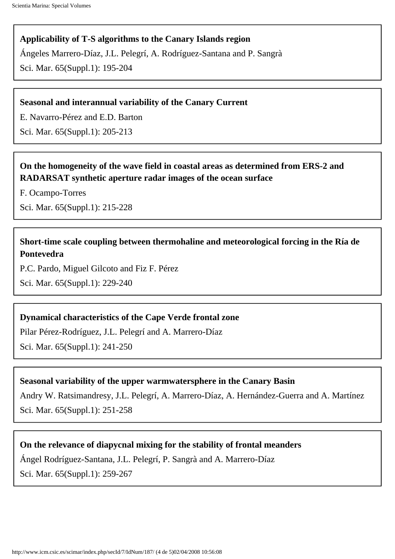### **[Applicability of T-S algorithms to the Canary Islands region](http://www.icm.csic.es/scimar/index.php/secId/7/IdArt/262/)**

[Ángeles Marrero-Díaz,](http://www.icm.csic.es/scimar/index.php/secId/9/author/1/iniyear/1955/finyear/2008/search/%22%C1ngeles%20Marrero-D%EDaz%22/) [J.L. Pelegrí](http://www.icm.csic.es/scimar/index.php/secId/9/author/1/iniyear/1955/finyear/2008/search/%22J.L.%20Pelegr%ED%22/), [A. Rodríguez-Santana](http://www.icm.csic.es/scimar/index.php/secId/9/author/1/iniyear/1955/finyear/2008/search/%22A.%20Rodr%EDguez-Santana%22/) and [P. Sangrà](http://www.icm.csic.es/scimar/index.php/secId/9/author/1/iniyear/1955/finyear/2008/search/%22P.%20Sangr%E0%22/)

Sci. Mar. 65(Suppl.1): 195-204

#### **[Seasonal and interannual variability of the Canary Current](http://www.icm.csic.es/scimar/index.php/secId/7/IdArt/264/)**

[E. Navarro-Pérez](http://www.icm.csic.es/scimar/index.php/secId/9/author/1/iniyear/1955/finyear/2008/search/%22E.%20Navarro-P%E9rez%22/) and [E.D. Barton](http://www.icm.csic.es/scimar/index.php/secId/9/author/1/iniyear/1955/finyear/2008/search/%22E.D.%20Barton%22/)

Sci. Mar. 65(Suppl.1): 205-213

## **[On the homogeneity of the wave field in coastal areas as determined from ERS-2 and](#page-6-0) [RADARSAT synthetic aperture radar images of the ocean surface](#page-6-0)**

[F. Ocampo-Torres](http://www.icm.csic.es/scimar/index.php/secId/9/author/1/iniyear/1955/finyear/2008/search/%22F.%20Ocampo-Torres%22/)

Sci. Mar. 65(Suppl.1): 215-228

## **[Short-time scale coupling between thermohaline and meteorological forcing in the Ría de](http://www.icm.csic.es/scimar/index.php/secId/7/IdArt/266/)  [Pontevedra](http://www.icm.csic.es/scimar/index.php/secId/7/IdArt/266/)**

[P.C. Pardo](http://www.icm.csic.es/scimar/index.php/secId/9/author/1/iniyear/1955/finyear/2008/search/%22P.C.%20Pardo%22/), [Miguel Gilcoto](http://www.icm.csic.es/scimar/index.php/secId/9/author/1/iniyear/1955/finyear/2008/search/%22Miguel%20Gilcoto%22/) and [Fiz F. Pérez](http://www.icm.csic.es/scimar/index.php/secId/9/author/1/iniyear/1955/finyear/2008/search/%22Fiz%20F.%20P%E9rez%22/)

Sci. Mar. 65(Suppl.1): 229-240

### **[Dynamical characteristics of the Cape Verde frontal zone](http://www.icm.csic.es/scimar/index.php/secId/7/IdArt/267/)**

[Pilar Pérez-Rodríguez](http://www.icm.csic.es/scimar/index.php/secId/9/author/1/iniyear/1955/finyear/2008/search/%22Pilar%20P%E9rez-Rodr%EDguez%22/), [J.L. Pelegrí](http://www.icm.csic.es/scimar/index.php/secId/9/author/1/iniyear/1955/finyear/2008/search/%22J.L.%20Pelegr%ED%22/) and [A. Marrero-Díaz](http://www.icm.csic.es/scimar/index.php/secId/9/author/1/iniyear/1955/finyear/2008/search/%22A.%20Marrero-D%EDaz%22/) Sci. Mar. 65(Suppl.1): 241-250

### **[Seasonal variability of the upper warmwatersphere in the Canary Basin](http://www.icm.csic.es/scimar/index.php/secId/7/IdArt/268/)**

[Andry W. Ratsimandresy,](http://www.icm.csic.es/scimar/index.php/secId/9/author/1/iniyear/1955/finyear/2008/search/%22Andry%20W.%20Ratsimandresy%22/) [J.L. Pelegrí](http://www.icm.csic.es/scimar/index.php/secId/9/author/1/iniyear/1955/finyear/2008/search/%22J.L.%20Pelegr%ED%22/), [A. Marrero-Díaz,](http://www.icm.csic.es/scimar/index.php/secId/9/author/1/iniyear/1955/finyear/2008/search/%22A.%20Marrero-D%EDaz%22/) [A. Hernández-Guerra](http://www.icm.csic.es/scimar/index.php/secId/9/author/1/iniyear/1955/finyear/2008/search/%22A.%20Hern%E1ndez-Guerra%22/) and [A. Martínez](http://www.icm.csic.es/scimar/index.php/secId/9/author/1/iniyear/1955/finyear/2008/search/%22A.%20Mart%EDnez%22/) Sci. Mar. 65(Suppl.1): 251-258

#### **[On the relevance of diapycnal mixing for the stability of frontal meanders](http://www.icm.csic.es/scimar/index.php/secId/7/IdArt/269/)**

[Ángel Rodríguez-Santana,](http://www.icm.csic.es/scimar/index.php/secId/9/author/1/iniyear/1955/finyear/2008/search/%22%C1ngel%20Rodr%EDguez-Santana%22/) [J.L. Pelegrí](http://www.icm.csic.es/scimar/index.php/secId/9/author/1/iniyear/1955/finyear/2008/search/%22J.L.%20Pelegr%ED%22/), [P. Sangrà](http://www.icm.csic.es/scimar/index.php/secId/9/author/1/iniyear/1955/finyear/2008/search/%22P.%20Sangr%E0%22/) and [A. Marrero-Díaz](http://www.icm.csic.es/scimar/index.php/secId/9/author/1/iniyear/1955/finyear/2008/search/%22A.%20Marrero-D%EDaz%22/) Sci. Mar. 65(Suppl.1): 259-267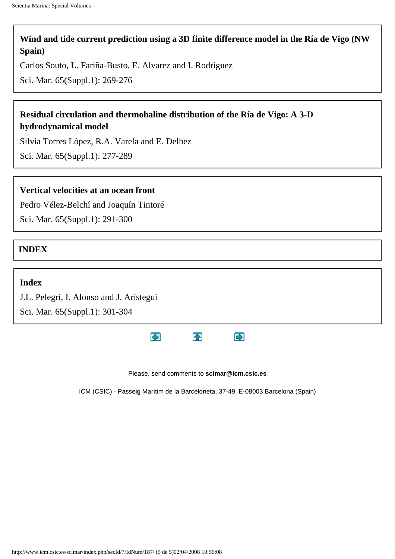## **[Wind and tide current prediction using a 3D finite difference model in the Ría de Vigo \(NW](http://www.icm.csic.es/scimar/index.php/secId/7/IdArt/272/) [Spain\)](http://www.icm.csic.es/scimar/index.php/secId/7/IdArt/272/)**

[Carlos Souto](http://www.icm.csic.es/scimar/index.php/secId/9/author/1/iniyear/1955/finyear/2008/search/%22Carlos%20Souto%22/), [L. Fariña-Busto](http://www.icm.csic.es/scimar/index.php/secId/9/author/1/iniyear/1955/finyear/2008/search/%22L.%20Fari%F1a-Busto%22/), [E. Alvarez](http://www.icm.csic.es/scimar/index.php/secId/9/author/1/iniyear/1955/finyear/2008/search/%22E.%20Alvarez%22/) and [I. Rodríguez](http://www.icm.csic.es/scimar/index.php/secId/9/author/1/iniyear/1955/finyear/2008/search/%22I.%20Rodr%EDguez%22/)

Sci. Mar. 65(Suppl.1): 269-276

## **[Residual circulation and thermohaline distribution of the Ría de Vigo: A 3-D](http://www.icm.csic.es/scimar/index.php/secId/7/IdArt/273/) [hydrodynamical model](http://www.icm.csic.es/scimar/index.php/secId/7/IdArt/273/)**

[Silvia Torres López](http://www.icm.csic.es/scimar/index.php/secId/9/author/1/iniyear/1955/finyear/2008/search/%22Silvia%20Torres%20L%F3pez%22/), [R.A. Varela](http://www.icm.csic.es/scimar/index.php/secId/9/author/1/iniyear/1955/finyear/2008/search/%22R.A.%20Varela%22/) and [E. Delhez](http://www.icm.csic.es/scimar/index.php/secId/9/author/1/iniyear/1955/finyear/2008/search/%22E.%20Delhez%22/)

Sci. Mar. 65(Suppl.1): 277-289

#### **[Vertical velocities at an ocean front](http://www.icm.csic.es/scimar/index.php/secId/7/IdArt/275/)**

[Pedro Vélez-Belchí](http://www.icm.csic.es/scimar/index.php/secId/9/author/1/iniyear/1955/finyear/2008/search/%22Pedro%20V%E9lez-Belch%ED%22/) and [Joaquín Tintoré](http://www.icm.csic.es/scimar/index.php/secId/9/author/1/iniyear/1955/finyear/2008/search/%22Joaqu%EDn%20Tintor%E9%22/)

Sci. Mar. 65(Suppl.1): 291-300

**INDEX**

#### **[Index](http://www.icm.csic.es/scimar/index.php/secId/7/IdArt/3412/)**

[J.L. Pelegrí,](http://www.icm.csic.es/scimar/index.php/secId/9/author/1/iniyear/1955/finyear/2008/search/%22J.L.%20Pelegr%26iacute%3B%22/) [I. Alonso](http://www.icm.csic.es/scimar/index.php/secId/9/author/1/iniyear/1955/finyear/2008/search/%22I.%20Alonso%22/) and [J. Arístegui](http://www.icm.csic.es/scimar/index.php/secId/9/author/1/iniyear/1955/finyear/2008/search/%22J.%20Ar%26iacute%3Bstegui%22/)

Sci. Mar. 65(Suppl.1): 301-304



Please, send comments to **[scimar@icm.csic.es](javascript:void(0))**

ICM (CSIC) - Passeig Marítim de la Barceloneta, 37-49. E-08003 Barcelona (Spain)